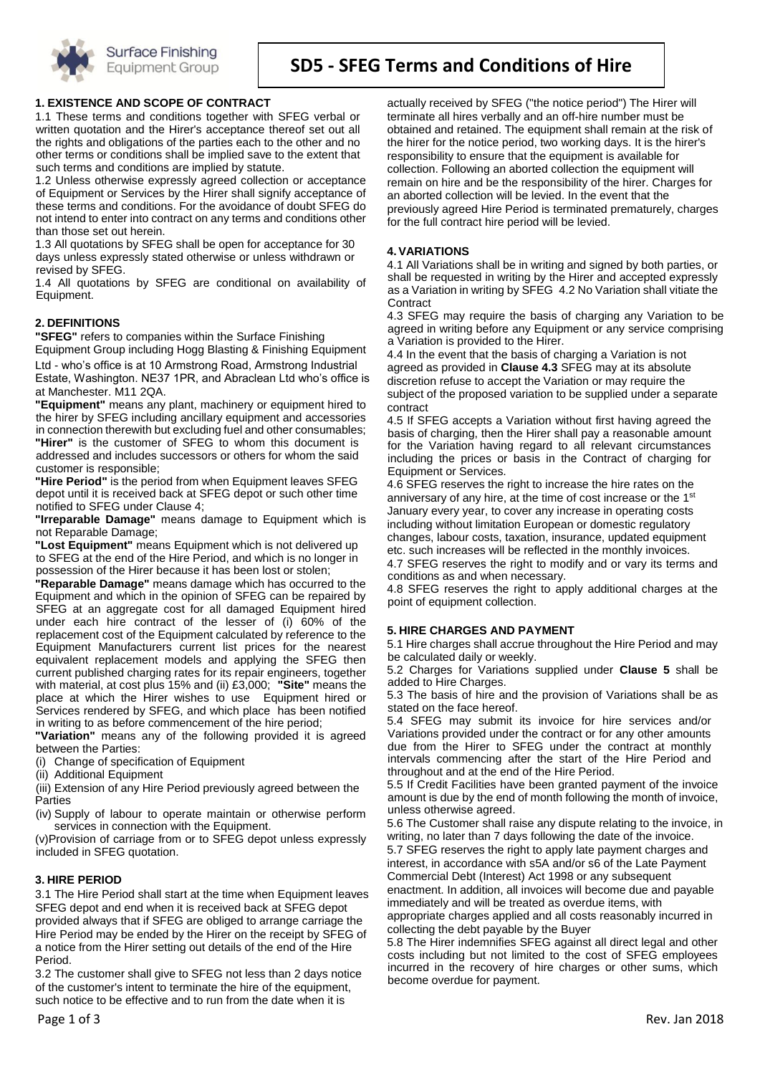

# **SD5 - SFEG Terms and Conditions of Hire**

## **1. EXISTENCE AND SCOPE OF CONTRACT**

1.1 These terms and conditions together with SFEG verbal or written quotation and the Hirer's acceptance thereof set out all the rights and obligations of the parties each to the other and no other terms or conditions shall be implied save to the extent that such terms and conditions are implied by statute.

1.2 Unless otherwise expressly agreed collection or acceptance of Equipment or Services by the Hirer shall signify acceptance of these terms and conditions. For the avoidance of doubt SFEG do not intend to enter into contract on any terms and conditions other than those set out herein.

1.3 All quotations by SFEG shall be open for acceptance for 30 days unless expressly stated otherwise or unless withdrawn or revised by SFEG.

1.4 All quotations by SFEG are conditional on availability of Equipment.

### **2. DEFINITIONS**

**"SFEG"** refers to companies within the Surface Finishing

Equipment Group including Hogg Blasting & Finishing Equipment Ltd - who's office is at 10 Armstrong Road, Armstrong Industrial Estate, Washington. NE37 1PR, and Abraclean Ltd who's office is at Manchester. M11 2QA.

**"Equipment"** means any plant, machinery or equipment hired to the hirer by SFEG including ancillary equipment and accessories in connection therewith but excluding fuel and other consumables; **"Hirer"** is the customer of SFEG to whom this document is addressed and includes successors or others for whom the said customer is responsible;

**"Hire Period"** is the period from when Equipment leaves SFEG depot until it is received back at SFEG depot or such other time notified to SFEG under Clause 4;

**"Irreparable Damage"** means damage to Equipment which is not Reparable Damage;

**"Lost Equipment"** means Equipment which is not delivered up to SFEG at the end of the Hire Period, and which is no longer in possession of the Hirer because it has been lost or stolen;

**"Reparable Damage"** means damage which has occurred to the Equipment and which in the opinion of SFEG can be repaired by SFEG at an aggregate cost for all damaged Equipment hired under each hire contract of the lesser of (i) 60% of the replacement cost of the Equipment calculated by reference to the Equipment Manufacturers current list prices for the nearest equivalent replacement models and applying the SFEG then current published charging rates for its repair engineers, together with material, at cost plus 15% and (ii) £3,000; **"Site"** means the place at which the Hirer wishes to use Equipment hired or Services rendered by SFEG, and which place has been notified in writing to as before commencement of the hire period;

**"Variation"** means any of the following provided it is agreed between the Parties:

(i) Change of specification of Equipment

(ii) Additional Equipment

(iii) Extension of any Hire Period previously agreed between the Parties

(iv) Supply of labour to operate maintain or otherwise perform services in connection with the Equipment.

(v)Provision of carriage from or to SFEG depot unless expressly included in SFEG quotation.

### **3. HIRE PERIOD**

3.1 The Hire Period shall start at the time when Equipment leaves SFEG depot and end when it is received back at SFEG depot provided always that if SFEG are obliged to arrange carriage the Hire Period may be ended by the Hirer on the receipt by SFEG of a notice from the Hirer setting out details of the end of the Hire Period.

3.2 The customer shall give to SFEG not less than 2 days notice of the customer's intent to terminate the hire of the equipment, such notice to be effective and to run from the date when it is

actually received by SFEG ("the notice period") The Hirer will terminate all hires verbally and an off-hire number must be obtained and retained. The equipment shall remain at the risk of the hirer for the notice period, two working days. It is the hirer's responsibility to ensure that the equipment is available for collection. Following an aborted collection the equipment will remain on hire and be the responsibility of the hirer. Charges for an aborted collection will be levied. In the event that the previously agreed Hire Period is terminated prematurely, charges for the full contract hire period will be levied.

#### **4.VARIATIONS**

4.1 All Variations shall be in writing and signed by both parties, or shall be requested in writing by the Hirer and accepted expressly as a Variation in writing by SFEG 4.2 No Variation shall vitiate the **Contract** 

4.3 SFEG may require the basis of charging any Variation to be agreed in writing before any Equipment or any service comprising a Variation is provided to the Hirer.

4.4 In the event that the basis of charging a Variation is not agreed as provided in **Clause 4.3** SFEG may at its absolute discretion refuse to accept the Variation or may require the subject of the proposed variation to be supplied under a separate contract

4.5 If SFEG accepts a Variation without first having agreed the basis of charging, then the Hirer shall pay a reasonable amount for the Variation having regard to all relevant circumstances including the prices or basis in the Contract of charging for Equipment or Services.

4.6 SFEG reserves the right to increase the hire rates on the anniversary of any hire, at the time of cost increase or the 1<sup>st</sup> January every year, to cover any increase in operating costs including without limitation European or domestic regulatory changes, labour costs, taxation, insurance, updated equipment etc. such increases will be reflected in the monthly invoices.

4.7 SFEG reserves the right to modify and or vary its terms and conditions as and when necessary.

4.8 SFEG reserves the right to apply additional charges at the point of equipment collection.

### **5. HIRE CHARGES AND PAYMENT**

5.1 Hire charges shall accrue throughout the Hire Period and may be calculated daily or weekly.

5.2 Charges for Variations supplied under **Clause 5** shall be added to Hire Charges.

5.3 The basis of hire and the provision of Variations shall be as stated on the face hereof.

5.4 SFEG may submit its invoice for hire services and/or Variations provided under the contract or for any other amounts due from the Hirer to SFEG under the contract at monthly intervals commencing after the start of the Hire Period and throughout and at the end of the Hire Period.

5.5 If Credit Facilities have been granted payment of the invoice amount is due by the end of month following the month of invoice, unless otherwise agreed.

5.6 The Customer shall raise any dispute relating to the invoice, in writing, no later than 7 days following the date of the invoice.

5.7 SFEG reserves the right to apply late payment charges and interest, in accordance with s5A and/or s6 of the Late Payment Commercial Debt (Interest) Act 1998 or any subsequent

enactment. In addition, all invoices will become due and payable immediately and will be treated as overdue items, with

appropriate charges applied and all costs reasonably incurred in collecting the debt payable by the Buyer

5.8 The Hirer indemnifies SFEG against all direct legal and other costs including but not limited to the cost of SFEG employees incurred in the recovery of hire charges or other sums, which become overdue for payment.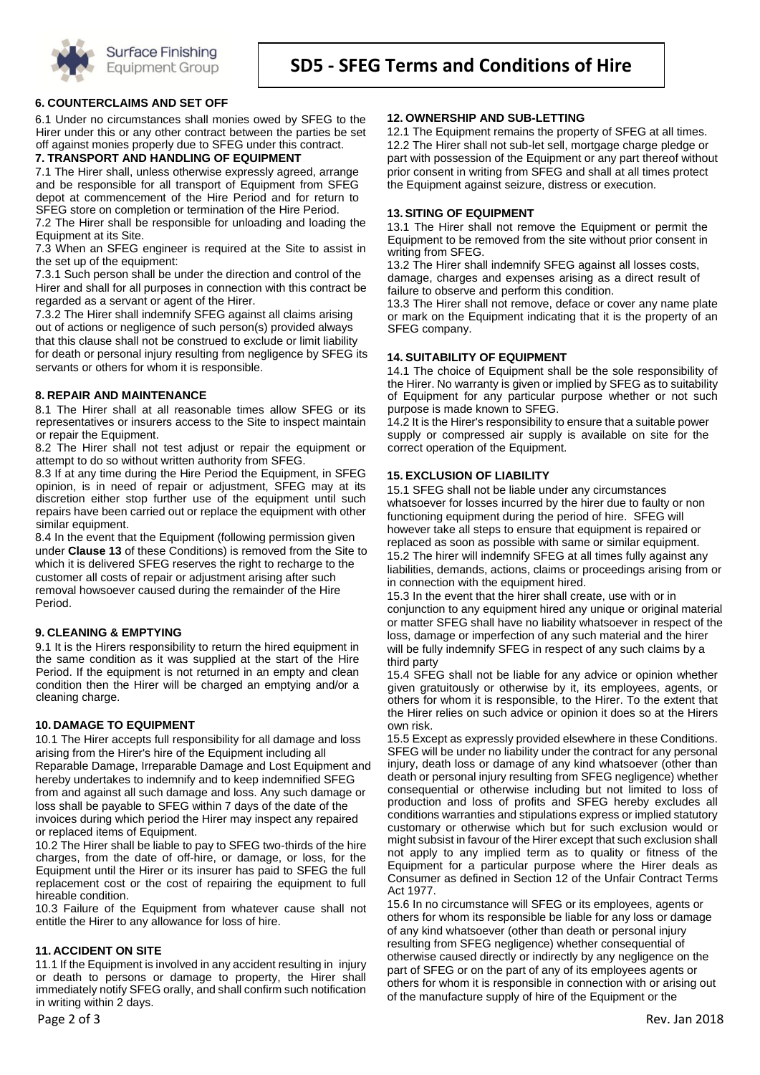

## **6. COUNTERCLAIMS AND SET OFF**

6.1 Under no circumstances shall monies owed by SFEG to the Hirer under this or any other contract between the parties be set off against monies properly due to SFEG under this contract.

## **7. TRANSPORT AND HANDLING OF EQUIPMENT**

7.1 The Hirer shall, unless otherwise expressly agreed, arrange and be responsible for all transport of Equipment from SFEG depot at commencement of the Hire Period and for return to SFEG store on completion or termination of the Hire Period. 7.2 The Hirer shall be responsible for unloading and loading the Equipment at its Site.

7.3 When an SFEG engineer is required at the Site to assist in the set up of the equipment:

7.3.1 Such person shall be under the direction and control of the Hirer and shall for all purposes in connection with this contract be regarded as a servant or agent of the Hirer.

7.3.2 The Hirer shall indemnify SFEG against all claims arising out of actions or negligence of such person(s) provided always that this clause shall not be construed to exclude or limit liability for death or personal injury resulting from negligence by SFEG its servants or others for whom it is responsible.

#### **8. REPAIR AND MAINTENANCE**

8.1 The Hirer shall at all reasonable times allow SFEG or its representatives or insurers access to the Site to inspect maintain or repair the Equipment.

8.2 The Hirer shall not test adjust or repair the equipment or attempt to do so without written authority from SFEG.

8.3 If at any time during the Hire Period the Equipment, in SFEG opinion, is in need of repair or adjustment, SFEG may at its discretion either stop further use of the equipment until such repairs have been carried out or replace the equipment with other similar equipment.

8.4 In the event that the Equipment (following permission given under **Clause 13** of these Conditions) is removed from the Site to which it is delivered SFEG reserves the right to recharge to the customer all costs of repair or adjustment arising after such removal howsoever caused during the remainder of the Hire Period.

#### **9. CLEANING & EMPTYING**

9.1 It is the Hirers responsibility to return the hired equipment in the same condition as it was supplied at the start of the Hire Period. If the equipment is not returned in an empty and clean condition then the Hirer will be charged an emptying and/or a cleaning charge.

### **10. DAMAGE TO EQUIPMENT**

10.1 The Hirer accepts full responsibility for all damage and loss arising from the Hirer's hire of the Equipment including all Reparable Damage, Irreparable Damage and Lost Equipment and hereby undertakes to indemnify and to keep indemnified SFEG from and against all such damage and loss. Any such damage or loss shall be payable to SFEG within 7 days of the date of the invoices during which period the Hirer may inspect any repaired or replaced items of Equipment.

10.2 The Hirer shall be liable to pay to SFEG two-thirds of the hire charges, from the date of off-hire, or damage, or loss, for the Equipment until the Hirer or its insurer has paid to SFEG the full replacement cost or the cost of repairing the equipment to full hireable condition.

10.3 Failure of the Equipment from whatever cause shall not entitle the Hirer to any allowance for loss of hire.

### **11. ACCIDENT ON SITE**

11.1 If the Equipment is involved in any accident resulting in injury or death to persons or damage to property, the Hirer shall immediately notify SFEG orally, and shall confirm such notification in writing within 2 days.

#### **12. OWNERSHIP AND SUB-LETTING**

12.1 The Equipment remains the property of SFEG at all times. 12.2 The Hirer shall not sub-let sell, mortgage charge pledge or part with possession of the Equipment or any part thereof without prior consent in writing from SFEG and shall at all times protect the Equipment against seizure, distress or execution.

#### **13. SITING OF EQUIPMENT**

13.1 The Hirer shall not remove the Equipment or permit the Equipment to be removed from the site without prior consent in writing from SFEG.

13.2 The Hirer shall indemnify SFEG against all losses costs, damage, charges and expenses arising as a direct result of failure to observe and perform this condition.

13.3 The Hirer shall not remove, deface or cover any name plate or mark on the Equipment indicating that it is the property of an SFEG company.

#### **14. SUITABILITY OF EQUIPMENT**

14.1 The choice of Equipment shall be the sole responsibility of the Hirer. No warranty is given or implied by SFEG as to suitability of Equipment for any particular purpose whether or not such purpose is made known to SFEG.

14.2 It is the Hirer's responsibility to ensure that a suitable power supply or compressed air supply is available on site for the correct operation of the Equipment.

#### **15. EXCLUSION OF LIABILITY**

15.1 SFEG shall not be liable under any circumstances whatsoever for losses incurred by the hirer due to faulty or non functioning equipment during the period of hire. SFEG will however take all steps to ensure that equipment is repaired or replaced as soon as possible with same or similar equipment. 15.2 The hirer will indemnify SFEG at all times fully against any liabilities, demands, actions, claims or proceedings arising from or in connection with the equipment hired.

15.3 In the event that the hirer shall create, use with or in conjunction to any equipment hired any unique or original material or matter SFEG shall have no liability whatsoever in respect of the loss, damage or imperfection of any such material and the hirer will be fully indemnify SFEG in respect of any such claims by a third party

15.4 SFEG shall not be liable for any advice or opinion whether given gratuitously or otherwise by it, its employees, agents, or others for whom it is responsible, to the Hirer. To the extent that the Hirer relies on such advice or opinion it does so at the Hirers own risk.

15.5 Except as expressly provided elsewhere in these Conditions. SFEG will be under no liability under the contract for any personal injury, death loss or damage of any kind whatsoever (other than death or personal injury resulting from SFEG negligence) whether consequential or otherwise including but not limited to loss of production and loss of profits and SFEG hereby excludes all conditions warranties and stipulations express or implied statutory customary or otherwise which but for such exclusion would or might subsist in favour of the Hirer except that such exclusion shall not apply to any implied term as to quality or fitness of the Equipment for a particular purpose where the Hirer deals as Consumer as defined in Section 12 of the Unfair Contract Terms Act 1977.

15.6 In no circumstance will SFEG or its employees, agents or others for whom its responsible be liable for any loss or damage of any kind whatsoever (other than death or personal injury resulting from SFEG negligence) whether consequential of otherwise caused directly or indirectly by any negligence on the part of SFEG or on the part of any of its employees agents or others for whom it is responsible in connection with or arising out of the manufacture supply of hire of the Equipment or the